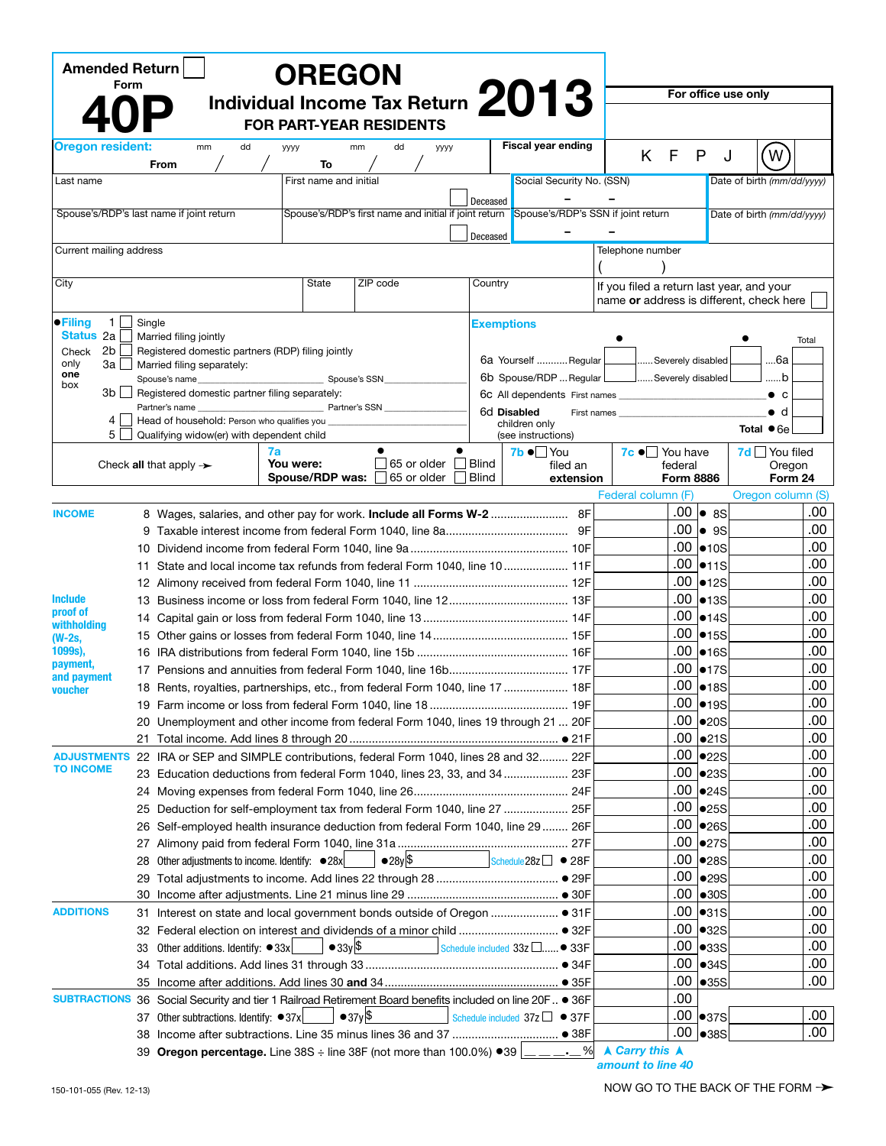| Form             |                                                                                                          |                                                                                                                                                                                                 |                                  |                                                                                                                                                                                                                                     |                                                                                                                                                                                            |                                                                |                                                                      |                                                       |                                                                                                                                                                                                                                                                                                                                                                                                                                                                                                                                                                                                                                                                                                                                                                                                                                                                                                                       |                                                                                                                                                                |                                                                                                                     |                                                                                                                                                                                                                                                                                                                   |                                                                                                                                                                                                                                                                                                                                                                                                                                                                                                                                                                 |
|------------------|----------------------------------------------------------------------------------------------------------|-------------------------------------------------------------------------------------------------------------------------------------------------------------------------------------------------|----------------------------------|-------------------------------------------------------------------------------------------------------------------------------------------------------------------------------------------------------------------------------------|--------------------------------------------------------------------------------------------------------------------------------------------------------------------------------------------|----------------------------------------------------------------|----------------------------------------------------------------------|-------------------------------------------------------|-----------------------------------------------------------------------------------------------------------------------------------------------------------------------------------------------------------------------------------------------------------------------------------------------------------------------------------------------------------------------------------------------------------------------------------------------------------------------------------------------------------------------------------------------------------------------------------------------------------------------------------------------------------------------------------------------------------------------------------------------------------------------------------------------------------------------------------------------------------------------------------------------------------------------|----------------------------------------------------------------------------------------------------------------------------------------------------------------|---------------------------------------------------------------------------------------------------------------------|-------------------------------------------------------------------------------------------------------------------------------------------------------------------------------------------------------------------------------------------------------------------------------------------------------------------|-----------------------------------------------------------------------------------------------------------------------------------------------------------------------------------------------------------------------------------------------------------------------------------------------------------------------------------------------------------------------------------------------------------------------------------------------------------------------------------------------------------------------------------------------------------------|
|                  |                                                                                                          |                                                                                                                                                                                                 |                                  |                                                                                                                                                                                                                                     |                                                                                                                                                                                            |                                                                |                                                                      |                                                       |                                                                                                                                                                                                                                                                                                                                                                                                                                                                                                                                                                                                                                                                                                                                                                                                                                                                                                                       |                                                                                                                                                                |                                                                                                                     |                                                                                                                                                                                                                                                                                                                   |                                                                                                                                                                                                                                                                                                                                                                                                                                                                                                                                                                 |
|                  |                                                                                                          |                                                                                                                                                                                                 |                                  |                                                                                                                                                                                                                                     |                                                                                                                                                                                            |                                                                |                                                                      |                                                       |                                                                                                                                                                                                                                                                                                                                                                                                                                                                                                                                                                                                                                                                                                                                                                                                                                                                                                                       |                                                                                                                                                                |                                                                                                                     |                                                                                                                                                                                                                                                                                                                   |                                                                                                                                                                                                                                                                                                                                                                                                                                                                                                                                                                 |
| Oregon resident: | mm                                                                                                       |                                                                                                                                                                                                 | уууу                             | mm                                                                                                                                                                                                                                  | dd                                                                                                                                                                                         |                                                                |                                                                      |                                                       |                                                                                                                                                                                                                                                                                                                                                                                                                                                                                                                                                                                                                                                                                                                                                                                                                                                                                                                       |                                                                                                                                                                |                                                                                                                     | W                                                                                                                                                                                                                                                                                                                 |                                                                                                                                                                                                                                                                                                                                                                                                                                                                                                                                                                 |
|                  |                                                                                                          |                                                                                                                                                                                                 |                                  |                                                                                                                                                                                                                                     |                                                                                                                                                                                            |                                                                |                                                                      |                                                       |                                                                                                                                                                                                                                                                                                                                                                                                                                                                                                                                                                                                                                                                                                                                                                                                                                                                                                                       |                                                                                                                                                                |                                                                                                                     |                                                                                                                                                                                                                                                                                                                   |                                                                                                                                                                                                                                                                                                                                                                                                                                                                                                                                                                 |
|                  |                                                                                                          |                                                                                                                                                                                                 |                                  |                                                                                                                                                                                                                                     |                                                                                                                                                                                            |                                                                |                                                                      |                                                       |                                                                                                                                                                                                                                                                                                                                                                                                                                                                                                                                                                                                                                                                                                                                                                                                                                                                                                                       |                                                                                                                                                                |                                                                                                                     |                                                                                                                                                                                                                                                                                                                   |                                                                                                                                                                                                                                                                                                                                                                                                                                                                                                                                                                 |
|                  |                                                                                                          |                                                                                                                                                                                                 |                                  |                                                                                                                                                                                                                                     |                                                                                                                                                                                            |                                                                |                                                                      |                                                       |                                                                                                                                                                                                                                                                                                                                                                                                                                                                                                                                                                                                                                                                                                                                                                                                                                                                                                                       |                                                                                                                                                                |                                                                                                                     |                                                                                                                                                                                                                                                                                                                   |                                                                                                                                                                                                                                                                                                                                                                                                                                                                                                                                                                 |
|                  |                                                                                                          |                                                                                                                                                                                                 |                                  |                                                                                                                                                                                                                                     |                                                                                                                                                                                            |                                                                |                                                                      |                                                       |                                                                                                                                                                                                                                                                                                                                                                                                                                                                                                                                                                                                                                                                                                                                                                                                                                                                                                                       |                                                                                                                                                                |                                                                                                                     |                                                                                                                                                                                                                                                                                                                   |                                                                                                                                                                                                                                                                                                                                                                                                                                                                                                                                                                 |
|                  |                                                                                                          |                                                                                                                                                                                                 |                                  |                                                                                                                                                                                                                                     |                                                                                                                                                                                            |                                                                |                                                                      |                                                       |                                                                                                                                                                                                                                                                                                                                                                                                                                                                                                                                                                                                                                                                                                                                                                                                                                                                                                                       |                                                                                                                                                                |                                                                                                                     |                                                                                                                                                                                                                                                                                                                   |                                                                                                                                                                                                                                                                                                                                                                                                                                                                                                                                                                 |
|                  |                                                                                                          |                                                                                                                                                                                                 |                                  |                                                                                                                                                                                                                                     |                                                                                                                                                                                            |                                                                |                                                                      |                                                       |                                                                                                                                                                                                                                                                                                                                                                                                                                                                                                                                                                                                                                                                                                                                                                                                                                                                                                                       |                                                                                                                                                                |                                                                                                                     |                                                                                                                                                                                                                                                                                                                   |                                                                                                                                                                                                                                                                                                                                                                                                                                                                                                                                                                 |
|                  |                                                                                                          |                                                                                                                                                                                                 | State                            |                                                                                                                                                                                                                                     |                                                                                                                                                                                            |                                                                |                                                                      |                                                       |                                                                                                                                                                                                                                                                                                                                                                                                                                                                                                                                                                                                                                                                                                                                                                                                                                                                                                                       |                                                                                                                                                                |                                                                                                                     |                                                                                                                                                                                                                                                                                                                   |                                                                                                                                                                                                                                                                                                                                                                                                                                                                                                                                                                 |
|                  |                                                                                                          |                                                                                                                                                                                                 |                                  |                                                                                                                                                                                                                                     |                                                                                                                                                                                            |                                                                |                                                                      |                                                       |                                                                                                                                                                                                                                                                                                                                                                                                                                                                                                                                                                                                                                                                                                                                                                                                                                                                                                                       |                                                                                                                                                                |                                                                                                                     |                                                                                                                                                                                                                                                                                                                   |                                                                                                                                                                                                                                                                                                                                                                                                                                                                                                                                                                 |
|                  |                                                                                                          |                                                                                                                                                                                                 |                                  |                                                                                                                                                                                                                                     |                                                                                                                                                                                            |                                                                |                                                                      |                                                       |                                                                                                                                                                                                                                                                                                                                                                                                                                                                                                                                                                                                                                                                                                                                                                                                                                                                                                                       |                                                                                                                                                                |                                                                                                                     |                                                                                                                                                                                                                                                                                                                   |                                                                                                                                                                                                                                                                                                                                                                                                                                                                                                                                                                 |
|                  |                                                                                                          |                                                                                                                                                                                                 |                                  |                                                                                                                                                                                                                                     |                                                                                                                                                                                            |                                                                |                                                                      |                                                       |                                                                                                                                                                                                                                                                                                                                                                                                                                                                                                                                                                                                                                                                                                                                                                                                                                                                                                                       |                                                                                                                                                                |                                                                                                                     |                                                                                                                                                                                                                                                                                                                   | Total                                                                                                                                                                                                                                                                                                                                                                                                                                                                                                                                                           |
|                  |                                                                                                          |                                                                                                                                                                                                 |                                  |                                                                                                                                                                                                                                     |                                                                                                                                                                                            |                                                                |                                                                      |                                                       |                                                                                                                                                                                                                                                                                                                                                                                                                                                                                                                                                                                                                                                                                                                                                                                                                                                                                                                       |                                                                                                                                                                |                                                                                                                     | 6а                                                                                                                                                                                                                                                                                                                |                                                                                                                                                                                                                                                                                                                                                                                                                                                                                                                                                                 |
|                  |                                                                                                          |                                                                                                                                                                                                 |                                  |                                                                                                                                                                                                                                     |                                                                                                                                                                                            |                                                                |                                                                      |                                                       |                                                                                                                                                                                                                                                                                                                                                                                                                                                                                                                                                                                                                                                                                                                                                                                                                                                                                                                       |                                                                                                                                                                |                                                                                                                     | b                                                                                                                                                                                                                                                                                                                 |                                                                                                                                                                                                                                                                                                                                                                                                                                                                                                                                                                 |
|                  |                                                                                                          |                                                                                                                                                                                                 |                                  |                                                                                                                                                                                                                                     |                                                                                                                                                                                            |                                                                |                                                                      |                                                       |                                                                                                                                                                                                                                                                                                                                                                                                                                                                                                                                                                                                                                                                                                                                                                                                                                                                                                                       |                                                                                                                                                                |                                                                                                                     | $\bullet$ c                                                                                                                                                                                                                                                                                                       |                                                                                                                                                                                                                                                                                                                                                                                                                                                                                                                                                                 |
|                  |                                                                                                          |                                                                                                                                                                                                 |                                  |                                                                                                                                                                                                                                     |                                                                                                                                                                                            |                                                                |                                                                      |                                                       |                                                                                                                                                                                                                                                                                                                                                                                                                                                                                                                                                                                                                                                                                                                                                                                                                                                                                                                       |                                                                                                                                                                |                                                                                                                     | $\bullet$ d                                                                                                                                                                                                                                                                                                       |                                                                                                                                                                                                                                                                                                                                                                                                                                                                                                                                                                 |
|                  |                                                                                                          |                                                                                                                                                                                                 |                                  |                                                                                                                                                                                                                                     |                                                                                                                                                                                            |                                                                |                                                                      |                                                       |                                                                                                                                                                                                                                                                                                                                                                                                                                                                                                                                                                                                                                                                                                                                                                                                                                                                                                                       |                                                                                                                                                                |                                                                                                                     |                                                                                                                                                                                                                                                                                                                   |                                                                                                                                                                                                                                                                                                                                                                                                                                                                                                                                                                 |
|                  |                                                                                                          |                                                                                                                                                                                                 |                                  | $\bullet$                                                                                                                                                                                                                           |                                                                                                                                                                                            | $\bullet$                                                      |                                                                      |                                                       |                                                                                                                                                                                                                                                                                                                                                                                                                                                                                                                                                                                                                                                                                                                                                                                                                                                                                                                       |                                                                                                                                                                |                                                                                                                     | $7d$ You filed                                                                                                                                                                                                                                                                                                    |                                                                                                                                                                                                                                                                                                                                                                                                                                                                                                                                                                 |
|                  |                                                                                                          |                                                                                                                                                                                                 |                                  |                                                                                                                                                                                                                                     |                                                                                                                                                                                            |                                                                |                                                                      |                                                       |                                                                                                                                                                                                                                                                                                                                                                                                                                                                                                                                                                                                                                                                                                                                                                                                                                                                                                                       |                                                                                                                                                                |                                                                                                                     |                                                                                                                                                                                                                                                                                                                   | Form 24                                                                                                                                                                                                                                                                                                                                                                                                                                                                                                                                                         |
|                  |                                                                                                          |                                                                                                                                                                                                 |                                  |                                                                                                                                                                                                                                     |                                                                                                                                                                                            |                                                                |                                                                      |                                                       |                                                                                                                                                                                                                                                                                                                                                                                                                                                                                                                                                                                                                                                                                                                                                                                                                                                                                                                       |                                                                                                                                                                |                                                                                                                     |                                                                                                                                                                                                                                                                                                                   |                                                                                                                                                                                                                                                                                                                                                                                                                                                                                                                                                                 |
|                  |                                                                                                          |                                                                                                                                                                                                 |                                  |                                                                                                                                                                                                                                     |                                                                                                                                                                                            |                                                                |                                                                      |                                                       |                                                                                                                                                                                                                                                                                                                                                                                                                                                                                                                                                                                                                                                                                                                                                                                                                                                                                                                       |                                                                                                                                                                |                                                                                                                     |                                                                                                                                                                                                                                                                                                                   | .00                                                                                                                                                                                                                                                                                                                                                                                                                                                                                                                                                             |
|                  |                                                                                                          |                                                                                                                                                                                                 |                                  |                                                                                                                                                                                                                                     |                                                                                                                                                                                            |                                                                |                                                                      |                                                       |                                                                                                                                                                                                                                                                                                                                                                                                                                                                                                                                                                                                                                                                                                                                                                                                                                                                                                                       |                                                                                                                                                                |                                                                                                                     |                                                                                                                                                                                                                                                                                                                   | .00                                                                                                                                                                                                                                                                                                                                                                                                                                                                                                                                                             |
|                  |                                                                                                          |                                                                                                                                                                                                 |                                  |                                                                                                                                                                                                                                     |                                                                                                                                                                                            |                                                                |                                                                      |                                                       |                                                                                                                                                                                                                                                                                                                                                                                                                                                                                                                                                                                                                                                                                                                                                                                                                                                                                                                       |                                                                                                                                                                |                                                                                                                     |                                                                                                                                                                                                                                                                                                                   | .00                                                                                                                                                                                                                                                                                                                                                                                                                                                                                                                                                             |
| 11               |                                                                                                          |                                                                                                                                                                                                 |                                  |                                                                                                                                                                                                                                     |                                                                                                                                                                                            |                                                                |                                                                      |                                                       |                                                                                                                                                                                                                                                                                                                                                                                                                                                                                                                                                                                                                                                                                                                                                                                                                                                                                                                       |                                                                                                                                                                |                                                                                                                     |                                                                                                                                                                                                                                                                                                                   | .00                                                                                                                                                                                                                                                                                                                                                                                                                                                                                                                                                             |
|                  |                                                                                                          |                                                                                                                                                                                                 |                                  |                                                                                                                                                                                                                                     |                                                                                                                                                                                            |                                                                |                                                                      |                                                       |                                                                                                                                                                                                                                                                                                                                                                                                                                                                                                                                                                                                                                                                                                                                                                                                                                                                                                                       |                                                                                                                                                                |                                                                                                                     |                                                                                                                                                                                                                                                                                                                   | .00                                                                                                                                                                                                                                                                                                                                                                                                                                                                                                                                                             |
|                  |                                                                                                          |                                                                                                                                                                                                 |                                  |                                                                                                                                                                                                                                     |                                                                                                                                                                                            |                                                                |                                                                      |                                                       |                                                                                                                                                                                                                                                                                                                                                                                                                                                                                                                                                                                                                                                                                                                                                                                                                                                                                                                       |                                                                                                                                                                |                                                                                                                     |                                                                                                                                                                                                                                                                                                                   | .00                                                                                                                                                                                                                                                                                                                                                                                                                                                                                                                                                             |
|                  |                                                                                                          |                                                                                                                                                                                                 |                                  |                                                                                                                                                                                                                                     |                                                                                                                                                                                            |                                                                |                                                                      |                                                       |                                                                                                                                                                                                                                                                                                                                                                                                                                                                                                                                                                                                                                                                                                                                                                                                                                                                                                                       |                                                                                                                                                                |                                                                                                                     |                                                                                                                                                                                                                                                                                                                   | .00                                                                                                                                                                                                                                                                                                                                                                                                                                                                                                                                                             |
|                  |                                                                                                          |                                                                                                                                                                                                 |                                  |                                                                                                                                                                                                                                     |                                                                                                                                                                                            |                                                                |                                                                      |                                                       |                                                                                                                                                                                                                                                                                                                                                                                                                                                                                                                                                                                                                                                                                                                                                                                                                                                                                                                       |                                                                                                                                                                |                                                                                                                     |                                                                                                                                                                                                                                                                                                                   | .00                                                                                                                                                                                                                                                                                                                                                                                                                                                                                                                                                             |
|                  |                                                                                                          |                                                                                                                                                                                                 |                                  |                                                                                                                                                                                                                                     |                                                                                                                                                                                            |                                                                |                                                                      |                                                       |                                                                                                                                                                                                                                                                                                                                                                                                                                                                                                                                                                                                                                                                                                                                                                                                                                                                                                                       |                                                                                                                                                                |                                                                                                                     |                                                                                                                                                                                                                                                                                                                   | .00                                                                                                                                                                                                                                                                                                                                                                                                                                                                                                                                                             |
|                  |                                                                                                          |                                                                                                                                                                                                 |                                  |                                                                                                                                                                                                                                     |                                                                                                                                                                                            |                                                                |                                                                      |                                                       |                                                                                                                                                                                                                                                                                                                                                                                                                                                                                                                                                                                                                                                                                                                                                                                                                                                                                                                       |                                                                                                                                                                |                                                                                                                     |                                                                                                                                                                                                                                                                                                                   | .00                                                                                                                                                                                                                                                                                                                                                                                                                                                                                                                                                             |
|                  |                                                                                                          |                                                                                                                                                                                                 |                                  |                                                                                                                                                                                                                                     |                                                                                                                                                                                            |                                                                |                                                                      |                                                       |                                                                                                                                                                                                                                                                                                                                                                                                                                                                                                                                                                                                                                                                                                                                                                                                                                                                                                                       |                                                                                                                                                                |                                                                                                                     |                                                                                                                                                                                                                                                                                                                   | .00                                                                                                                                                                                                                                                                                                                                                                                                                                                                                                                                                             |
|                  |                                                                                                          |                                                                                                                                                                                                 |                                  |                                                                                                                                                                                                                                     |                                                                                                                                                                                            |                                                                |                                                                      |                                                       |                                                                                                                                                                                                                                                                                                                                                                                                                                                                                                                                                                                                                                                                                                                                                                                                                                                                                                                       |                                                                                                                                                                |                                                                                                                     |                                                                                                                                                                                                                                                                                                                   | $.00\,$<br>.00                                                                                                                                                                                                                                                                                                                                                                                                                                                                                                                                                  |
|                  |                                                                                                          |                                                                                                                                                                                                 |                                  |                                                                                                                                                                                                                                     |                                                                                                                                                                                            |                                                                |                                                                      |                                                       |                                                                                                                                                                                                                                                                                                                                                                                                                                                                                                                                                                                                                                                                                                                                                                                                                                                                                                                       |                                                                                                                                                                |                                                                                                                     |                                                                                                                                                                                                                                                                                                                   | .00                                                                                                                                                                                                                                                                                                                                                                                                                                                                                                                                                             |
|                  |                                                                                                          |                                                                                                                                                                                                 |                                  |                                                                                                                                                                                                                                     |                                                                                                                                                                                            |                                                                |                                                                      |                                                       |                                                                                                                                                                                                                                                                                                                                                                                                                                                                                                                                                                                                                                                                                                                                                                                                                                                                                                                       |                                                                                                                                                                |                                                                                                                     |                                                                                                                                                                                                                                                                                                                   | .00                                                                                                                                                                                                                                                                                                                                                                                                                                                                                                                                                             |
|                  |                                                                                                          |                                                                                                                                                                                                 |                                  |                                                                                                                                                                                                                                     |                                                                                                                                                                                            |                                                                |                                                                      |                                                       |                                                                                                                                                                                                                                                                                                                                                                                                                                                                                                                                                                                                                                                                                                                                                                                                                                                                                                                       |                                                                                                                                                                |                                                                                                                     |                                                                                                                                                                                                                                                                                                                   | .00                                                                                                                                                                                                                                                                                                                                                                                                                                                                                                                                                             |
|                  |                                                                                                          |                                                                                                                                                                                                 |                                  |                                                                                                                                                                                                                                     |                                                                                                                                                                                            |                                                                |                                                                      |                                                       |                                                                                                                                                                                                                                                                                                                                                                                                                                                                                                                                                                                                                                                                                                                                                                                                                                                                                                                       |                                                                                                                                                                |                                                                                                                     |                                                                                                                                                                                                                                                                                                                   | .00                                                                                                                                                                                                                                                                                                                                                                                                                                                                                                                                                             |
|                  |                                                                                                          |                                                                                                                                                                                                 |                                  |                                                                                                                                                                                                                                     |                                                                                                                                                                                            |                                                                |                                                                      |                                                       |                                                                                                                                                                                                                                                                                                                                                                                                                                                                                                                                                                                                                                                                                                                                                                                                                                                                                                                       |                                                                                                                                                                |                                                                                                                     |                                                                                                                                                                                                                                                                                                                   | .00                                                                                                                                                                                                                                                                                                                                                                                                                                                                                                                                                             |
|                  |                                                                                                          |                                                                                                                                                                                                 |                                  |                                                                                                                                                                                                                                     |                                                                                                                                                                                            |                                                                |                                                                      |                                                       |                                                                                                                                                                                                                                                                                                                                                                                                                                                                                                                                                                                                                                                                                                                                                                                                                                                                                                                       |                                                                                                                                                                |                                                                                                                     |                                                                                                                                                                                                                                                                                                                   | .00                                                                                                                                                                                                                                                                                                                                                                                                                                                                                                                                                             |
|                  |                                                                                                          |                                                                                                                                                                                                 |                                  |                                                                                                                                                                                                                                     |                                                                                                                                                                                            |                                                                |                                                                      |                                                       |                                                                                                                                                                                                                                                                                                                                                                                                                                                                                                                                                                                                                                                                                                                                                                                                                                                                                                                       |                                                                                                                                                                |                                                                                                                     |                                                                                                                                                                                                                                                                                                                   | .00                                                                                                                                                                                                                                                                                                                                                                                                                                                                                                                                                             |
| 28               |                                                                                                          |                                                                                                                                                                                                 |                                  |                                                                                                                                                                                                                                     |                                                                                                                                                                                            |                                                                |                                                                      |                                                       |                                                                                                                                                                                                                                                                                                                                                                                                                                                                                                                                                                                                                                                                                                                                                                                                                                                                                                                       |                                                                                                                                                                |                                                                                                                     |                                                                                                                                                                                                                                                                                                                   | .00                                                                                                                                                                                                                                                                                                                                                                                                                                                                                                                                                             |
| 29               |                                                                                                          |                                                                                                                                                                                                 |                                  |                                                                                                                                                                                                                                     |                                                                                                                                                                                            |                                                                |                                                                      |                                                       |                                                                                                                                                                                                                                                                                                                                                                                                                                                                                                                                                                                                                                                                                                                                                                                                                                                                                                                       |                                                                                                                                                                |                                                                                                                     |                                                                                                                                                                                                                                                                                                                   | .00                                                                                                                                                                                                                                                                                                                                                                                                                                                                                                                                                             |
|                  |                                                                                                          |                                                                                                                                                                                                 |                                  |                                                                                                                                                                                                                                     |                                                                                                                                                                                            |                                                                |                                                                      |                                                       |                                                                                                                                                                                                                                                                                                                                                                                                                                                                                                                                                                                                                                                                                                                                                                                                                                                                                                                       |                                                                                                                                                                |                                                                                                                     |                                                                                                                                                                                                                                                                                                                   | .00                                                                                                                                                                                                                                                                                                                                                                                                                                                                                                                                                             |
|                  |                                                                                                          |                                                                                                                                                                                                 |                                  |                                                                                                                                                                                                                                     |                                                                                                                                                                                            |                                                                |                                                                      |                                                       |                                                                                                                                                                                                                                                                                                                                                                                                                                                                                                                                                                                                                                                                                                                                                                                                                                                                                                                       |                                                                                                                                                                |                                                                                                                     |                                                                                                                                                                                                                                                                                                                   | .00                                                                                                                                                                                                                                                                                                                                                                                                                                                                                                                                                             |
|                  |                                                                                                          |                                                                                                                                                                                                 |                                  |                                                                                                                                                                                                                                     |                                                                                                                                                                                            |                                                                |                                                                      |                                                       |                                                                                                                                                                                                                                                                                                                                                                                                                                                                                                                                                                                                                                                                                                                                                                                                                                                                                                                       |                                                                                                                                                                |                                                                                                                     |                                                                                                                                                                                                                                                                                                                   | .00                                                                                                                                                                                                                                                                                                                                                                                                                                                                                                                                                             |
| 33               |                                                                                                          |                                                                                                                                                                                                 |                                  |                                                                                                                                                                                                                                     |                                                                                                                                                                                            |                                                                |                                                                      |                                                       |                                                                                                                                                                                                                                                                                                                                                                                                                                                                                                                                                                                                                                                                                                                                                                                                                                                                                                                       |                                                                                                                                                                |                                                                                                                     |                                                                                                                                                                                                                                                                                                                   | .00                                                                                                                                                                                                                                                                                                                                                                                                                                                                                                                                                             |
|                  |                                                                                                          |                                                                                                                                                                                                 |                                  |                                                                                                                                                                                                                                     |                                                                                                                                                                                            |                                                                |                                                                      |                                                       |                                                                                                                                                                                                                                                                                                                                                                                                                                                                                                                                                                                                                                                                                                                                                                                                                                                                                                                       |                                                                                                                                                                | •34S                                                                                                                |                                                                                                                                                                                                                                                                                                                   | .00                                                                                                                                                                                                                                                                                                                                                                                                                                                                                                                                                             |
|                  |                                                                                                          |                                                                                                                                                                                                 |                                  |                                                                                                                                                                                                                                     |                                                                                                                                                                                            |                                                                |                                                                      |                                                       |                                                                                                                                                                                                                                                                                                                                                                                                                                                                                                                                                                                                                                                                                                                                                                                                                                                                                                                       |                                                                                                                                                                |                                                                                                                     |                                                                                                                                                                                                                                                                                                                   |                                                                                                                                                                                                                                                                                                                                                                                                                                                                                                                                                                 |
|                  |                                                                                                          |                                                                                                                                                                                                 |                                  |                                                                                                                                                                                                                                     |                                                                                                                                                                                            |                                                                |                                                                      |                                                       |                                                                                                                                                                                                                                                                                                                                                                                                                                                                                                                                                                                                                                                                                                                                                                                                                                                                                                                       | .00                                                                                                                                                            | $\bullet$ 35S                                                                                                       |                                                                                                                                                                                                                                                                                                                   | .00                                                                                                                                                                                                                                                                                                                                                                                                                                                                                                                                                             |
|                  | SUBTRACTIONS 36 Social Security and tier 1 Railroad Retirement Board benefits included on line 20F ● 36F |                                                                                                                                                                                                 |                                  |                                                                                                                                                                                                                                     |                                                                                                                                                                                            |                                                                |                                                                      |                                                       |                                                                                                                                                                                                                                                                                                                                                                                                                                                                                                                                                                                                                                                                                                                                                                                                                                                                                                                       | .00                                                                                                                                                            |                                                                                                                     |                                                                                                                                                                                                                                                                                                                   |                                                                                                                                                                                                                                                                                                                                                                                                                                                                                                                                                                 |
|                  | 37 Other subtractions. Identify: ● 37x                                                                   |                                                                                                                                                                                                 |                                  | $\bullet$ 37y \$                                                                                                                                                                                                                    |                                                                                                                                                                                            |                                                                |                                                                      | Schedule included $37z \Box \bullet 37F$              |                                                                                                                                                                                                                                                                                                                                                                                                                                                                                                                                                                                                                                                                                                                                                                                                                                                                                                                       | .00                                                                                                                                                            | $.00$ $ •37S $<br>$\bullet$ 38S                                                                                     |                                                                                                                                                                                                                                                                                                                   | .00<br>.00.                                                                                                                                                                                                                                                                                                                                                                                                                                                                                                                                                     |
|                  |                                                                                                          | <b>Amended Return</b><br>From<br>Spouse's/RDP's last name if joint return<br>Current mailing address<br>Single<br>Married filing jointly<br>Spouse's name<br>Check all that apply $\rightarrow$ | dd<br>Married filing separately: | To<br>Registered domestic partner filing separately:<br>Partner's name<br>Head of household: Person who qualifies you _<br>Qualifying widow(er) with dependent child<br>7a<br>You were:<br>Other additions. Identify: $\bullet$ 33x | First name and initial<br>Registered domestic partners (RDP) filing jointly<br>Spouse's SSN<br>Spouse/RDP was:<br>Other adjustments to income. Identify: $\bullet$ 28x<br>$\bullet$ 33y \$ | <b>OREGON</b><br>ZIP code<br>Partner's SSN<br>$\bullet$ 28y \$ | <b>FOR PART-YEAR RESIDENTS</b><br>уууу<br>65 or older<br>65 or older | Deceased<br>Deceased<br>Country<br>  Blind<br>l Blind | <b>Exemptions</b><br>6d Disabled<br>children only<br>(see instructions)<br>$7b \bullet$ You<br>filed an<br>8 Wages, salaries, and other pay for work. Include all Forms W-2 8F<br>State and local income tax refunds from federal Form 1040, line 10 11F<br>18 Rents, royalties, partnerships, etc., from federal Form 1040, line 17  18F<br>20 Unemployment and other income from federal Form 1040, lines 19 through 21  20F<br>ADJUSTMENTS 22 IRA or SEP and SIMPLE contributions, federal Form 1040, lines 28 and 32 22F<br>23 Education deductions from federal Form 1040, lines 23, 33, and 34 23F<br>25 Deduction for self-employment tax from federal Form 1040, line 27  25F<br>26 Self-employed health insurance deduction from federal Form 1040, line 29  26F<br>Schedule 28z <sup>1</sup> ● 28F<br>32 Federal election on interest and dividends of a minor child  ● 32F<br>Schedule included 33z □● 33F | Individual Income Tax Return $2013$<br><b>Fiscal year ending</b><br>Social Security No. (SSN)<br>6a Yourself  Regular<br>6b Spouse/RDP  Regular  <br>extension | K F<br>Spouse's/RDP's first name and initial if joint return Spouse's/RDP's SSN if joint return<br>Telephone number | P<br>First names <b>Exercise 1999</b><br>$7c \bullet$ You have<br>federal<br><b>Form 8886</b><br>Federal column (F)<br>.00<br>.00<br>.00<br>.00<br>.00<br>.00<br>.00<br>.00<br>.00<br>.00<br>.00<br>.00.<br>.00<br>.00<br>.00<br>.00<br>.00<br>.00<br>.00<br>.00<br>.00<br>.00<br>.00<br>.00<br>.00<br>.00<br>.00 | For office use only<br>J<br>Date of birth (mm/dd/yyyy)<br>Date of birth (mm/dd/yyyy)<br>If you filed a return last year, and your<br>name or address is different, check here<br>Severely disabled<br>Total $\bullet$ 6e<br>Oregon<br>Oregon column (S)<br>$\bullet$ 8S<br>$\bullet$ 9S<br>•10S<br>•11S<br>•12S<br>•13S<br>•14S<br>•15S<br>$\bullet$ 16S<br>•17S<br>•18S<br>$\bullet$ 19S<br>$\bullet$ 20S<br>$\bullet$ 21S<br>$\bullet$ 22S<br>$\bullet$ 23S<br>•24S<br>•25S<br>•26S<br>•27S<br>•28S<br>$\bullet$ 29S<br>$\bullet$ 30S<br>•31S<br>•32S<br>•33S |

*amount to line 40*